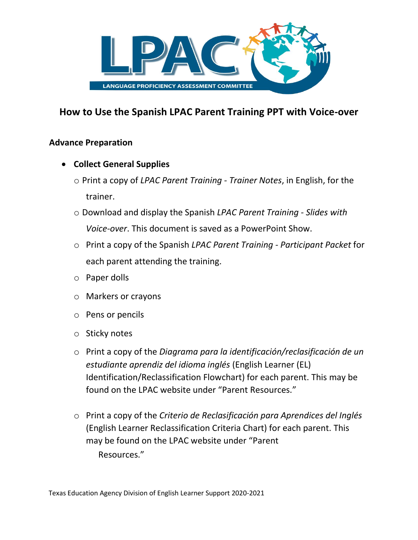

# **How to Use the Spanish LPAC Parent Training PPT with Voice-over**

### **Advance Preparation**

- **Collect General Supplies** 
	- o Print a copy of *LPAC Parent Training Trainer Notes*, in English, for the trainer.
	- o Download and display the Spanish *LPAC Parent Training Slides with Voice-over*. This document is saved as a PowerPoint Show.
	- o Print a copy of the Spanish *LPAC Parent Training Participant Packet* for each parent attending the training.
	- o Paper dolls
	- o Markers or crayons
	- o Pens or pencils
	- o Sticky notes
	- o Print a copy of the *Diagrama para la identificación/reclasificación de un estudiante aprendiz del idioma inglés* (English Learner (EL) Identification/Reclassification Flowchart) for each parent. This may be found on the LPAC website under "Parent Resources."
	- o Print a copy of the *Criterio de Reclasificación para Aprendices del Inglés*  (English Learner Reclassification Criteria Chart) for each parent. This may be found on the LPAC website under "Parent Resources."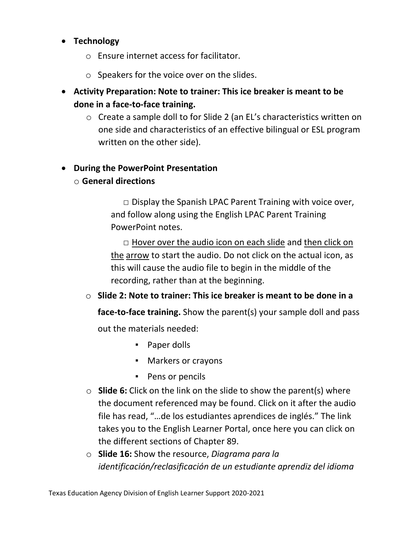## • **Technology**

- o Ensure internet access for facilitator.
- o Speakers for the voice over on the slides.
- **Activity Preparation: Note to trainer: This ice breaker is meant to be done in a face-to-face training.**
	- o Create a sample doll to for Slide 2 (an EL's characteristics written on one side and characteristics of an effective bilingual or ESL program written on the other side).

## • **During the PowerPoint Presentation**

o **General directions** 

 $\Box$  Display the Spanish LPAC Parent Training with voice over, and follow along using the English LPAC Parent Training PowerPoint notes.

 $\Box$  Hover over the audio icon on each slide and then click on the arrow to start the audio. Do not click on the actual icon, as this will cause the audio file to begin in the middle of the recording, rather than at the beginning.

### o **Slide 2: Note to trainer: This ice breaker is meant to be done in a**

**face-to-face training.** Show the parent(s) your sample doll and pass

out the materials needed:

- Paper dolls
- Markers or crayons
- Pens or pencils
- o **Slide 6:** Click on the link on the slide to show the parent(s) where the document referenced may be found. Click on it after the audio file has read, "…de los estudiantes aprendices de inglés." The link takes you to the English Learner Portal, once here you can click on the different sections of Chapter 89.
- o **Slide 16:** Show the resource, *Diagrama para la identificación/reclasificación de un estudiante aprendiz del idioma*